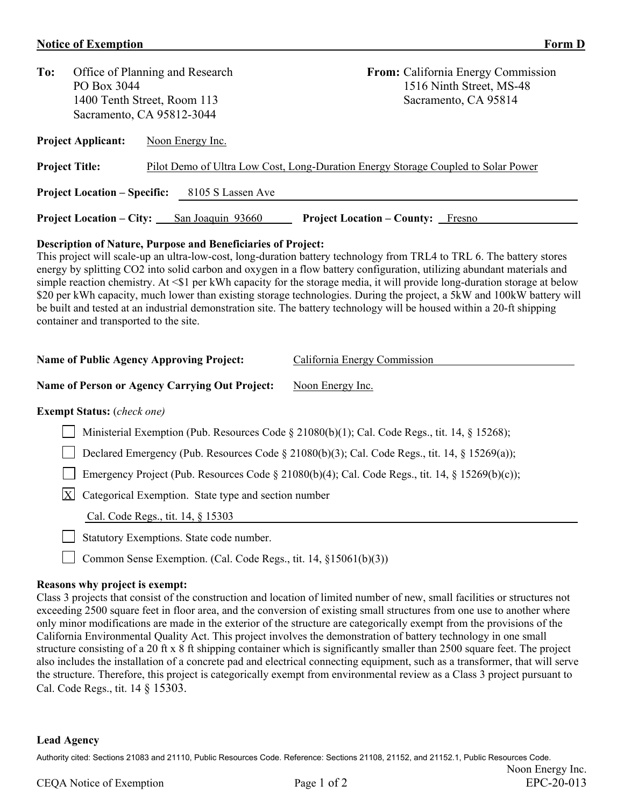## **Notice of Exemption Form D**

| To:                                                      | PO Box 3044                     | Office of Planning and Research<br>1400 Tenth Street, Room 113<br>Sacramento, CA 95812-3044 | <b>From:</b> California Energy Commission<br>1516 Ninth Street, MS-48<br>Sacramento, CA 95814 |  |  |  |  |
|----------------------------------------------------------|---------------------------------|---------------------------------------------------------------------------------------------|-----------------------------------------------------------------------------------------------|--|--|--|--|
| <b>Project Applicant:</b>                                |                                 | Noon Energy Inc.                                                                            |                                                                                               |  |  |  |  |
| <b>Project Title:</b>                                    |                                 | Pilot Demo of Ultra Low Cost, Long-Duration Energy Storage Coupled to Solar Power           |                                                                                               |  |  |  |  |
| <b>Project Location – Specific:</b><br>8105 S Lassen Ave |                                 |                                                                                             |                                                                                               |  |  |  |  |
|                                                          | <b>Project Location – City:</b> | San Joaquin 93660<br><b>Project Location – County:</b> Fresno                               |                                                                                               |  |  |  |  |

## **Description of Nature, Purpose and Beneficiaries of Project:**

This project will scale-up an ultra-low-cost, long-duration battery technology from TRL4 to TRL 6. The battery stores energy by splitting CO2 into solid carbon and oxygen in a flow battery configuration, utilizing abundant materials and simple reaction chemistry. At  $\leq 1$  per kWh capacity for the storage media, it will provide long-duration storage at below \$20 per kWh capacity, much lower than existing storage technologies. During the project, a 5kW and 100kW battery will be built and tested at an industrial demonstration site. The battery technology will be housed within a 20-ft shipping container and transported to the site.

| Name of Public Agency Approving Project:                                                        | California Energy Commission |  |  |  |  |
|-------------------------------------------------------------------------------------------------|------------------------------|--|--|--|--|
| <b>Name of Person or Agency Carrying Out Project:</b>                                           | Noon Energy Inc.             |  |  |  |  |
| <b>Exempt Status:</b> ( <i>check one</i> )                                                      |                              |  |  |  |  |
| Ministerial Exemption (Pub. Resources Code § 21080(b)(1); Cal. Code Regs., tit. 14, § 15268);   |                              |  |  |  |  |
| Declared Emergency (Pub. Resources Code § 21080(b)(3); Cal. Code Regs., tit. 14, § 15269(a));   |                              |  |  |  |  |
| Emergency Project (Pub. Resources Code § 21080(b)(4); Cal. Code Regs., tit. 14, § 15269(b)(c)); |                              |  |  |  |  |
| $\mathbf{X}$<br>Categorical Exemption. State type and section number                            |                              |  |  |  |  |
| Cal. Code Regs., tit. 14, § 15303                                                               |                              |  |  |  |  |
| Statutory Exemptions. State code number.                                                        |                              |  |  |  |  |

Common Sense Exemption. (Cal. Code Regs., tit. 14, §15061(b)(3))

## **Reasons why project is exempt:**

Class 3 projects that consist of the construction and location of limited number of new, small facilities or structures not exceeding 2500 square feet in floor area, and the conversion of existing small structures from one use to another where only minor modifications are made in the exterior of the structure are categorically exempt from the provisions of the California Environmental Quality Act. This project involves the demonstration of battery technology in one small structure consisting of a 20 ft x 8 ft shipping container which is significantly smaller than 2500 square feet. The project also includes the installation of a concrete pad and electrical connecting equipment, such as a transformer, that will serve the structure. Therefore, this project is categorically exempt from environmental review as a Class 3 project pursuant to Cal. Code Regs., tit. 14 § 15303.

## **Lead Agency**

Authority cited: Sections 21083 and 21110, Public Resources Code. Reference: Sections 21108, 21152, and 21152.1, Public Resources Code.